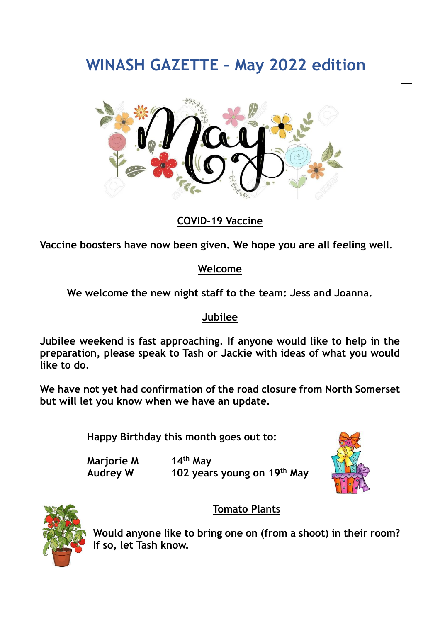# **WINASH GAZETTE – May 2022 edition**



## **COVID-19 Vaccine**

**Vaccine boosters have now been given. We hope you are all feeling well.**

### **Welcome**

**We welcome the new night staff to the team: Jess and Joanna.**

### **Jubilee**

**Jubilee weekend is fast approaching. If anyone would like to help in the preparation, please speak to Tash or Jackie with ideas of what you would like to do.**

**We have not yet had confirmation of the road closure from North Somerset but will let you know when we have an update.**

**Happy Birthday this month goes out to:**

**Marjorie M 14th May Audrey W 102 years young on 19th May**





## **Tomato Plants**

**Would anyone like to bring one on (from a shoot) in their room? If so, let Tash know.**